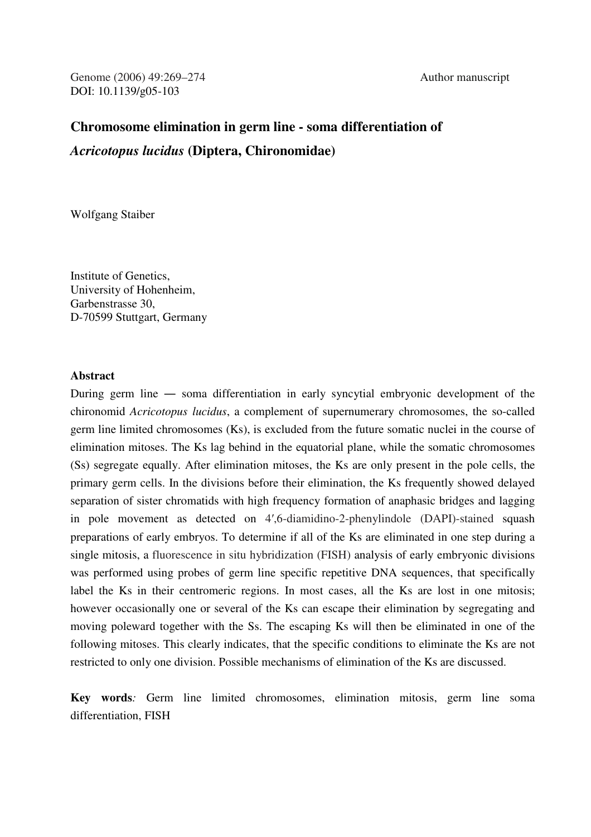# **Chromosome elimination in germ line - soma differentiation of**  *Acricotopus lucidus* **(Diptera, Chironomidae)**

Wolfgang Staiber

Institute of Genetics, University of Hohenheim, Garbenstrasse 30, D-70599 Stuttgart, Germany

# **Abstract**

During germ line ― soma differentiation in early syncytial embryonic development of the chironomid *Acricotopus lucidus*, a complement of supernumerary chromosomes, the so-called germ line limited chromosomes (Ks), is excluded from the future somatic nuclei in the course of elimination mitoses. The Ks lag behind in the equatorial plane, while the somatic chromosomes (Ss) segregate equally. After elimination mitoses, the Ks are only present in the pole cells, the primary germ cells. In the divisions before their elimination, the Ks frequently showed delayed separation of sister chromatids with high frequency formation of anaphasic bridges and lagging in pole movement as detected on 4′,6-diamidino-2-phenylindole (DAPI)-stained squash preparations of early embryos. To determine if all of the Ks are eliminated in one step during a single mitosis, a fluorescence in situ hybridization (FISH) analysis of early embryonic divisions was performed using probes of germ line specific repetitive DNA sequences, that specifically label the Ks in their centromeric regions. In most cases, all the Ks are lost in one mitosis; however occasionally one or several of the Ks can escape their elimination by segregating and moving poleward together with the Ss. The escaping Ks will then be eliminated in one of the following mitoses. This clearly indicates, that the specific conditions to eliminate the Ks are not restricted to only one division. Possible mechanisms of elimination of the Ks are discussed.

**Key words***:* Germ line limited chromosomes, elimination mitosis, germ line soma differentiation, FISH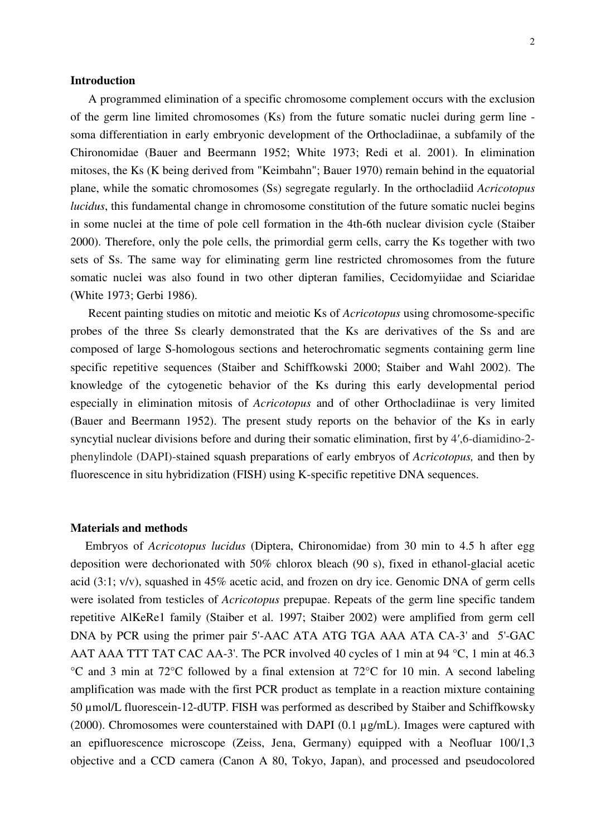## **Introduction**

 A programmed elimination of a specific chromosome complement occurs with the exclusion of the germ line limited chromosomes (Ks) from the future somatic nuclei during germ line soma differentiation in early embryonic development of the Orthocladiinae, a subfamily of the Chironomidae (Bauer and Beermann 1952; White 1973; Redi et al. 2001). In elimination mitoses, the Ks (K being derived from "Keimbahn"; Bauer 1970) remain behind in the equatorial plane, while the somatic chromosomes (Ss) segregate regularly. In the orthocladiid *Acricotopus lucidus*, this fundamental change in chromosome constitution of the future somatic nuclei begins in some nuclei at the time of pole cell formation in the 4th-6th nuclear division cycle (Staiber 2000). Therefore, only the pole cells, the primordial germ cells, carry the Ks together with two sets of Ss. The same way for eliminating germ line restricted chromosomes from the future somatic nuclei was also found in two other dipteran families, Cecidomyiidae and Sciaridae (White 1973; Gerbi 1986).

 Recent painting studies on mitotic and meiotic Ks of *Acricotopus* using chromosome-specific probes of the three Ss clearly demonstrated that the Ks are derivatives of the Ss and are composed of large S-homologous sections and heterochromatic segments containing germ line specific repetitive sequences (Staiber and Schiffkowski 2000; Staiber and Wahl 2002). The knowledge of the cytogenetic behavior of the Ks during this early developmental period especially in elimination mitosis of *Acricotopus* and of other Orthocladiinae is very limited (Bauer and Beermann 1952). The present study reports on the behavior of the Ks in early syncytial nuclear divisions before and during their somatic elimination, first by 4′,6-diamidino-2 phenylindole (DAPI)-stained squash preparations of early embryos of *Acricotopus,* and then by fluorescence in situ hybridization (FISH) using K-specific repetitive DNA sequences.

#### **Materials and methods**

 Embryos of *Acricotopus lucidus* (Diptera, Chironomidae) from 30 min to 4.5 h after egg deposition were dechorionated with 50% chlorox bleach (90 s), fixed in ethanol-glacial acetic acid (3:1; v/v), squashed in 45% acetic acid, and frozen on dry ice. Genomic DNA of germ cells were isolated from testicles of *Acricotopus* prepupae. Repeats of the germ line specific tandem repetitive AlKeRe1 family (Staiber et al. 1997; Staiber 2002) were amplified from germ cell DNA by PCR using the primer pair 5'-AAC ATA ATG TGA AAA ATA CA-3' and 5'-GAC AAT AAA TTT TAT CAC AA-3'. The PCR involved 40 cycles of 1 min at 94 °C, 1 min at 46.3 °C and 3 min at 72°C followed by a final extension at 72°C for 10 min. A second labeling amplification was made with the first PCR product as template in a reaction mixture containing 50 µmol/L fluorescein-12-dUTP. FISH was performed as described by Staiber and Schiffkowsky (2000). Chromosomes were counterstained with DAPI (0.1  $\mu$ g/mL). Images were captured with an epifluorescence microscope (Zeiss, Jena, Germany) equipped with a Neofluar 100/1,3 objective and a CCD camera (Canon A 80, Tokyo, Japan), and processed and pseudocolored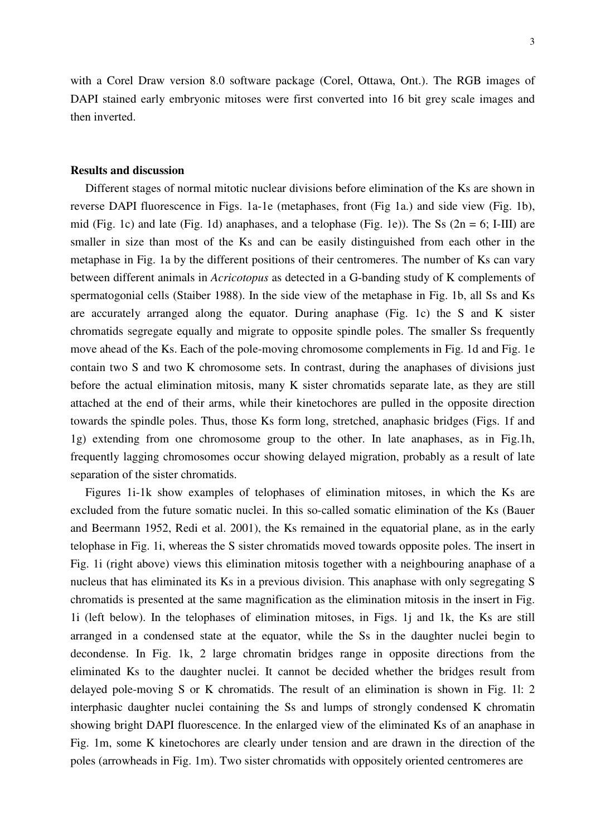with a Corel Draw version 8.0 software package (Corel, Ottawa, Ont.). The RGB images of DAPI stained early embryonic mitoses were first converted into 16 bit grey scale images and then inverted.

## **Results and discussion**

 Different stages of normal mitotic nuclear divisions before elimination of the Ks are shown in reverse DAPI fluorescence in Figs. 1a-1e (metaphases, front (Fig 1a.) and side view (Fig. 1b), mid (Fig. 1c) and late (Fig. 1d) anaphases, and a telophase (Fig. 1e)). The Ss  $(2n = 6; I-III)$  are smaller in size than most of the Ks and can be easily distinguished from each other in the metaphase in Fig. 1a by the different positions of their centromeres. The number of Ks can vary between different animals in *Acricotopus* as detected in a G-banding study of K complements of spermatogonial cells (Staiber 1988). In the side view of the metaphase in Fig. 1b, all Ss and Ks are accurately arranged along the equator. During anaphase (Fig. 1c) the S and K sister chromatids segregate equally and migrate to opposite spindle poles. The smaller Ss frequently move ahead of the Ks. Each of the pole-moving chromosome complements in Fig. 1d and Fig. 1e contain two S and two K chromosome sets. In contrast, during the anaphases of divisions just before the actual elimination mitosis, many K sister chromatids separate late, as they are still attached at the end of their arms, while their kinetochores are pulled in the opposite direction towards the spindle poles. Thus, those Ks form long, stretched, anaphasic bridges (Figs. 1f and 1g) extending from one chromosome group to the other. In late anaphases, as in Fig.1h, frequently lagging chromosomes occur showing delayed migration, probably as a result of late separation of the sister chromatids.

 Figures 1i-1k show examples of telophases of elimination mitoses, in which the Ks are excluded from the future somatic nuclei. In this so-called somatic elimination of the Ks (Bauer and Beermann 1952, Redi et al. 2001), the Ks remained in the equatorial plane, as in the early telophase in Fig. 1i, whereas the S sister chromatids moved towards opposite poles. The insert in Fig. 1i (right above) views this elimination mitosis together with a neighbouring anaphase of a nucleus that has eliminated its Ks in a previous division. This anaphase with only segregating S chromatids is presented at the same magnification as the elimination mitosis in the insert in Fig. 1i (left below). In the telophases of elimination mitoses, in Figs. 1j and 1k, the Ks are still arranged in a condensed state at the equator, while the Ss in the daughter nuclei begin to decondense. In Fig. 1k, 2 large chromatin bridges range in opposite directions from the eliminated Ks to the daughter nuclei. It cannot be decided whether the bridges result from delayed pole-moving S or K chromatids. The result of an elimination is shown in Fig. 1l: 2 interphasic daughter nuclei containing the Ss and lumps of strongly condensed K chromatin showing bright DAPI fluorescence. In the enlarged view of the eliminated Ks of an anaphase in Fig. 1m, some K kinetochores are clearly under tension and are drawn in the direction of the poles (arrowheads in Fig. 1m). Two sister chromatids with oppositely oriented centromeres are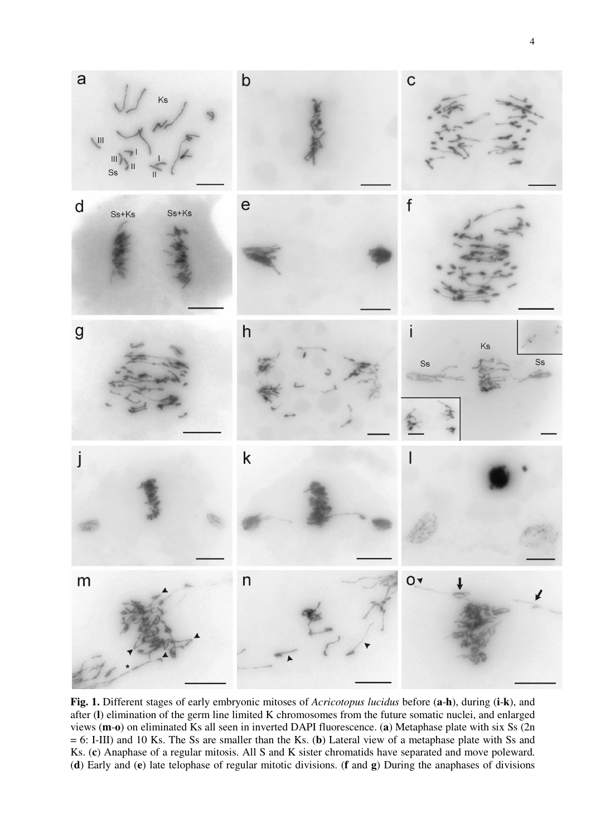

**Fig. 1.** Different stages of early embryonic mitoses of *Acricotopus lucidus* before (**a**-**h**), during (**i**-**k**), and after (**l**) elimination of the germ line limited K chromosomes from the future somatic nuclei, and enlarged views (**m**-**o**) on eliminated Ks all seen in inverted DAPI fluorescence. (**a**) Metaphase plate with six Ss (2n = 6: I-III) and 10 Ks. The Ss are smaller than the Ks. (**b**) Lateral view of a metaphase plate with Ss and Ks. (**c**) Anaphase of a regular mitosis. All S and K sister chromatids have separated and move poleward. (**d**) Early and (**e**) late telophase of regular mitotic divisions. (**f** and **g**) During the anaphases of divisions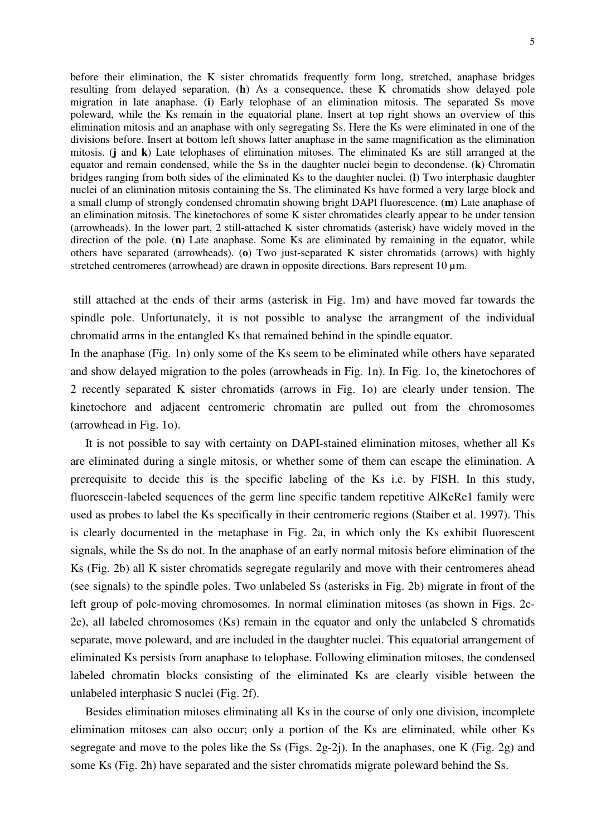before their elimination, the K sister chromatids frequently form long, stretched, anaphase bridges resulting from delayed separation. (**h**) As a consequence, these K chromatids show delayed pole migration in late anaphase. (**i**) Early telophase of an elimination mitosis. The separated Ss move poleward, while the Ks remain in the equatorial plane. Insert at top right shows an overview of this elimination mitosis and an anaphase with only segregating Ss. Here the Ks were eliminated in one of the divisions before. Insert at bottom left shows latter anaphase in the same magnification as the elimination mitosis. (**j** and **k**) Late telophases of elimination mitoses. The eliminated Ks are still arranged at the equator and remain condensed, while the Ss in the daughter nuclei begin to decondense. (**k**) Chromatin bridges ranging from both sides of the eliminated Ks to the daughter nuclei. (**l**) Two interphasic daughter nuclei of an elimination mitosis containing the Ss. The eliminated Ks have formed a very large block and a small clump of strongly condensed chromatin showing bright DAPI fluorescence. (**m**) Late anaphase of an elimination mitosis. The kinetochores of some K sister chromatides clearly appear to be under tension (arrowheads). In the lower part, 2 still-attached K sister chromatids (asterisk) have widely moved in the direction of the pole. (**n**) Late anaphase. Some Ks are eliminated by remaining in the equator, while others have separated (arrowheads). (**o**) Two just-separated K sister chromatids (arrows) with highly stretched centromeres (arrowhead) are drawn in opposite directions. Bars represent 10  $\mu$ m.

 still attached at the ends of their arms (asterisk in Fig. 1m) and have moved far towards the spindle pole. Unfortunately, it is not possible to analyse the arrangment of the individual chromatid arms in the entangled Ks that remained behind in the spindle equator.

In the anaphase (Fig. 1n) only some of the Ks seem to be eliminated while others have separated and show delayed migration to the poles (arrowheads in Fig. 1n). In Fig. 1o, the kinetochores of 2 recently separated K sister chromatids (arrows in Fig. 1o) are clearly under tension. The kinetochore and adjacent centromeric chromatin are pulled out from the chromosomes (arrowhead in Fig. 1o).

 It is not possible to say with certainty on DAPI-stained elimination mitoses, whether all Ks are eliminated during a single mitosis, or whether some of them can escape the elimination. A prerequisite to decide this is the specific labeling of the Ks i.e. by FISH. In this study, fluorescein-labeled sequences of the germ line specific tandem repetitive AlKeRe1 family were used as probes to label the Ks specifically in their centromeric regions (Staiber et al. 1997). This is clearly documented in the metaphase in Fig. 2a, in which only the Ks exhibit fluorescent signals, while the Ss do not. In the anaphase of an early normal mitosis before elimination of the Ks (Fig. 2b) all K sister chromatids segregate regularily and move with their centromeres ahead (see signals) to the spindle poles. Two unlabeled Ss (asterisks in Fig. 2b) migrate in front of the left group of pole-moving chromosomes. In normal elimination mitoses (as shown in Figs. 2c-2e), all labeled chromosomes (Ks) remain in the equator and only the unlabeled S chromatids separate, move poleward, and are included in the daughter nuclei. This equatorial arrangement of eliminated Ks persists from anaphase to telophase. Following elimination mitoses, the condensed labeled chromatin blocks consisting of the eliminated Ks are clearly visible between the unlabeled interphasic S nuclei (Fig. 2f).

 Besides elimination mitoses eliminating all Ks in the course of only one division, incomplete elimination mitoses can also occur; only a portion of the Ks are eliminated, while other Ks segregate and move to the poles like the Ss (Figs. 2g-2j). In the anaphases, one K (Fig. 2g) and some Ks (Fig. 2h) have separated and the sister chromatids migrate poleward behind the Ss.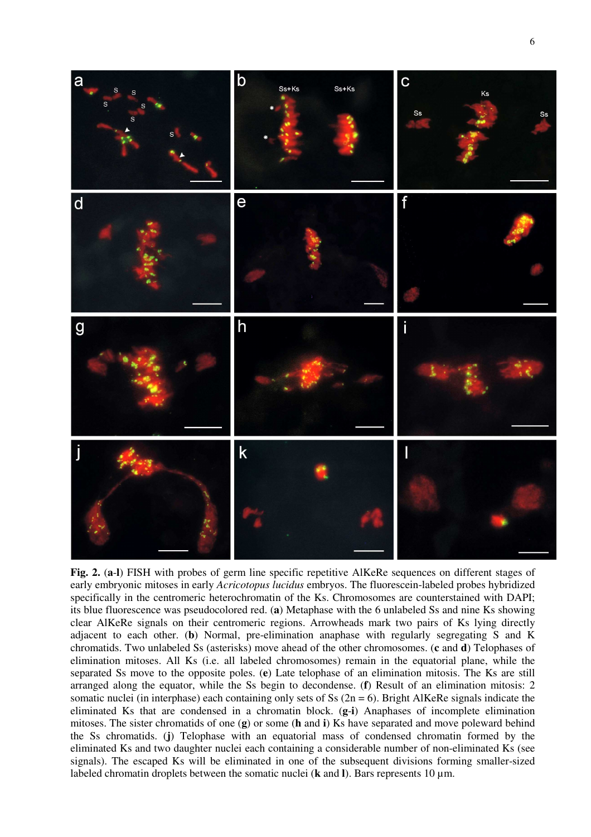

**Fig. 2.** (**a**-**l**) FISH with probes of germ line specific repetitive AlKeRe sequences on different stages of early embryonic mitoses in early *Acricotopus lucidus* embryos. The fluorescein-labeled probes hybridized specifically in the centromeric heterochromatin of the Ks. Chromosomes are counterstained with DAPI; its blue fluorescence was pseudocolored red. (**a**) Metaphase with the 6 unlabeled Ss and nine Ks showing clear AlKeRe signals on their centromeric regions. Arrowheads mark two pairs of Ks lying directly adjacent to each other. (**b**) Normal, pre-elimination anaphase with regularly segregating S and K chromatids. Two unlabeled Ss (asterisks) move ahead of the other chromosomes. (**c** and **d**) Telophases of elimination mitoses. All Ks (i.e. all labeled chromosomes) remain in the equatorial plane, while the separated Ss move to the opposite poles. (**e**) Late telophase of an elimination mitosis. The Ks are still arranged along the equator, while the Ss begin to decondense. (**f**) Result of an elimination mitosis: 2 somatic nuclei (in interphase) each containing only sets of Ss  $(2n = 6)$ . Bright AlKeRe signals indicate the eliminated Ks that are condensed in a chromatin block. (**g**-**i**) Anaphases of incomplete elimination mitoses. The sister chromatids of one (**g**) or some (**h** and **i**) Ks have separated and move poleward behind the Ss chromatids. (**j**) Telophase with an equatorial mass of condensed chromatin formed by the eliminated Ks and two daughter nuclei each containing a considerable number of non-eliminated Ks (see signals). The escaped Ks will be eliminated in one of the subsequent divisions forming smaller-sized labeled chromatin droplets between the somatic nuclei ( $\bf{k}$  and  $\bf{l}$ ). Bars represents 10  $\mu$ m.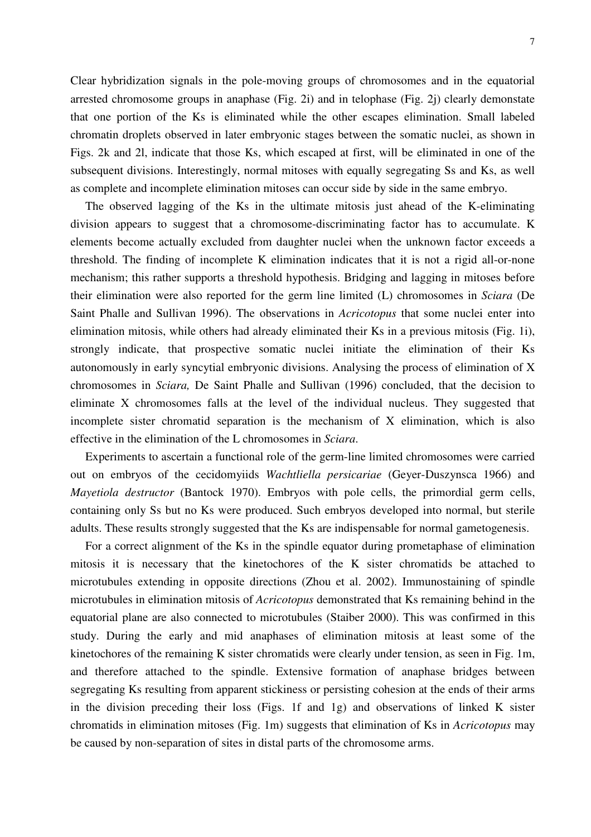Clear hybridization signals in the pole-moving groups of chromosomes and in the equatorial arrested chromosome groups in anaphase (Fig. 2i) and in telophase (Fig. 2j) clearly demonstate that one portion of the Ks is eliminated while the other escapes elimination. Small labeled chromatin droplets observed in later embryonic stages between the somatic nuclei, as shown in Figs. 2k and 2l, indicate that those Ks, which escaped at first, will be eliminated in one of the subsequent divisions. Interestingly, normal mitoses with equally segregating Ss and Ks, as well as complete and incomplete elimination mitoses can occur side by side in the same embryo.

 The observed lagging of the Ks in the ultimate mitosis just ahead of the K-eliminating division appears to suggest that a chromosome-discriminating factor has to accumulate. K elements become actually excluded from daughter nuclei when the unknown factor exceeds a threshold. The finding of incomplete K elimination indicates that it is not a rigid all-or-none mechanism; this rather supports a threshold hypothesis. Bridging and lagging in mitoses before their elimination were also reported for the germ line limited (L) chromosomes in *Sciara* (De Saint Phalle and Sullivan 1996). The observations in *Acricotopus* that some nuclei enter into elimination mitosis, while others had already eliminated their Ks in a previous mitosis (Fig. 1i), strongly indicate, that prospective somatic nuclei initiate the elimination of their Ks autonomously in early syncytial embryonic divisions. Analysing the process of elimination of X chromosomes in *Sciara,* De Saint Phalle and Sullivan (1996) concluded, that the decision to eliminate X chromosomes falls at the level of the individual nucleus. They suggested that incomplete sister chromatid separation is the mechanism of X elimination, which is also effective in the elimination of the L chromosomes in *Sciara*.

 Experiments to ascertain a functional role of the germ-line limited chromosomes were carried out on embryos of the cecidomyiids *Wachtliella persicariae* (Geyer-Duszynsca 1966) and *Mayetiola destructor* (Bantock 1970). Embryos with pole cells, the primordial germ cells, containing only Ss but no Ks were produced. Such embryos developed into normal, but sterile adults. These results strongly suggested that the Ks are indispensable for normal gametogenesis.

 For a correct alignment of the Ks in the spindle equator during prometaphase of elimination mitosis it is necessary that the kinetochores of the K sister chromatids be attached to microtubules extending in opposite directions (Zhou et al. 2002). Immunostaining of spindle microtubules in elimination mitosis of *Acricotopus* demonstrated that Ks remaining behind in the equatorial plane are also connected to microtubules (Staiber 2000). This was confirmed in this study. During the early and mid anaphases of elimination mitosis at least some of the kinetochores of the remaining K sister chromatids were clearly under tension, as seen in Fig. 1m, and therefore attached to the spindle. Extensive formation of anaphase bridges between segregating Ks resulting from apparent stickiness or persisting cohesion at the ends of their arms in the division preceding their loss (Figs. 1f and 1g) and observations of linked K sister chromatids in elimination mitoses (Fig. 1m) suggests that elimination of Ks in *Acricotopus* may be caused by non-separation of sites in distal parts of the chromosome arms.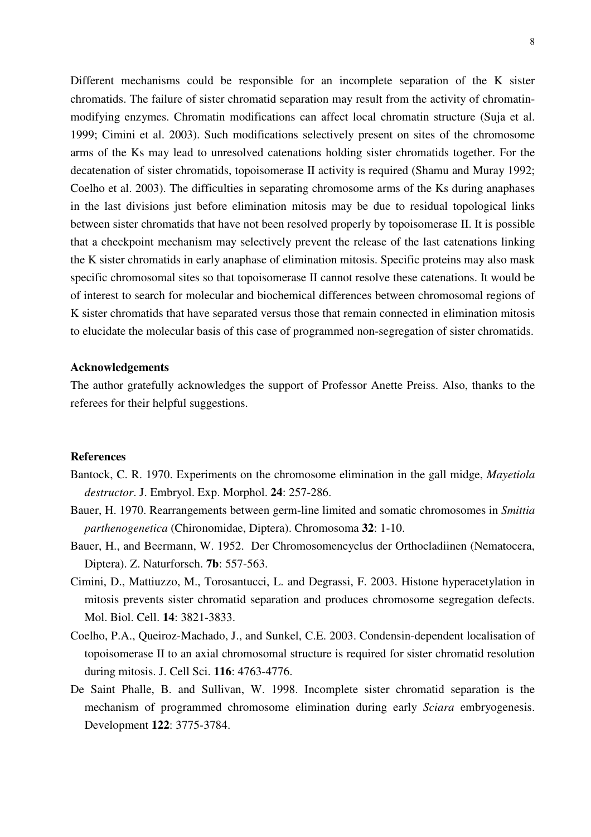Different mechanisms could be responsible for an incomplete separation of the K sister chromatids. The failure of sister chromatid separation may result from the activity of chromatinmodifying enzymes. Chromatin modifications can affect local chromatin structure (Suja et al. 1999; Cimini et al. 2003). Such modifications selectively present on sites of the chromosome arms of the Ks may lead to unresolved catenations holding sister chromatids together. For the decatenation of sister chromatids, topoisomerase II activity is required (Shamu and Muray 1992; Coelho et al. 2003). The difficulties in separating chromosome arms of the Ks during anaphases in the last divisions just before elimination mitosis may be due to residual topological links between sister chromatids that have not been resolved properly by topoisomerase II. It is possible that a checkpoint mechanism may selectively prevent the release of the last catenations linking the K sister chromatids in early anaphase of elimination mitosis. Specific proteins may also mask specific chromosomal sites so that topoisomerase II cannot resolve these catenations. It would be of interest to search for molecular and biochemical differences between chromosomal regions of K sister chromatids that have separated versus those that remain connected in elimination mitosis to elucidate the molecular basis of this case of programmed non-segregation of sister chromatids.

## **Acknowledgements**

The author gratefully acknowledges the support of Professor Anette Preiss. Also, thanks to the referees for their helpful suggestions.

# **References**

- Bantock, C. R. 1970. Experiments on the chromosome elimination in the gall midge, *Mayetiola destructor*. J. Embryol. Exp. Morphol. **24**: 257-286.
- Bauer, H. 1970. Rearrangements between germ-line limited and somatic chromosomes in *Smittia parthenogenetica* (Chironomidae, Diptera). Chromosoma **32**: 1-10.
- Bauer, H., and Beermann, W. 1952. Der Chromosomencyclus der Orthocladiinen (Nematocera, Diptera). Z. Naturforsch. **7b**: 557-563.
- Cimini, D., Mattiuzzo, M., Torosantucci, L. and Degrassi, F. 2003. Histone hyperacetylation in mitosis prevents sister chromatid separation and produces chromosome segregation defects. Mol. Biol. Cell. **14**: 3821-3833.
- Coelho, P.A., Queiroz-Machado, J., and Sunkel, C.E. 2003. Condensin-dependent localisation of topoisomerase II to an axial chromosomal structure is required for sister chromatid resolution during mitosis. J. Cell Sci. **116**: 4763-4776.
- De Saint Phalle, B. and Sullivan, W. 1998. Incomplete sister chromatid separation is the mechanism of programmed chromosome elimination during early *Sciara* embryogenesis. Development **122**: 3775-3784.